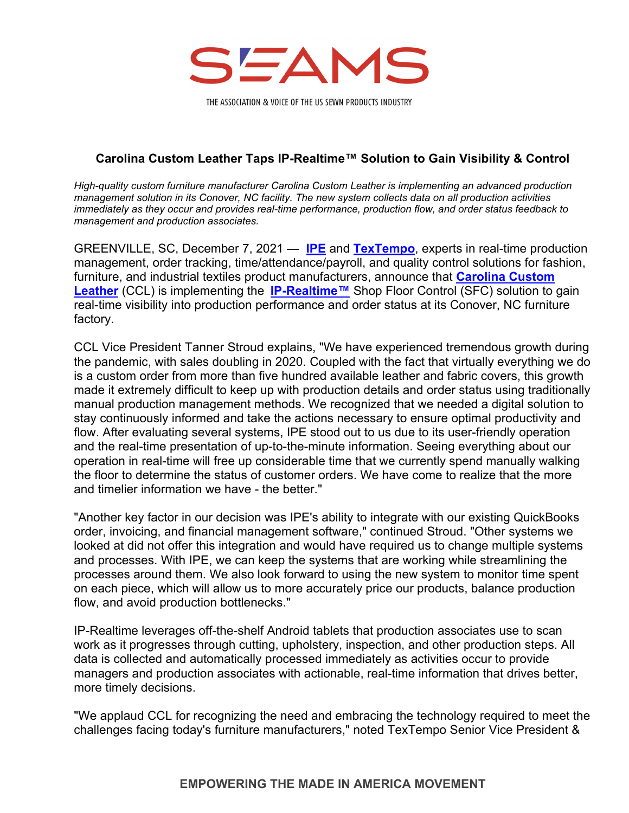

THE ASSOCIATION & VOICE OF THE US SEWN PRODUCTS INDUSTRY

## **Carolina Custom Leather Taps IP-Realtime™ Solution to Gain Visibility & Control**

*High-quality custom furniture manufacturer Carolina Custom Leather is implementing an advanced production management solution in its Conover, NC facility. The new system collects data on all production activities immediately as they occur and provides real-time performance, production flow, and order status feedback to management and production associates.* 

GREENVILLE, SC, December 7, 2021 — **[IPE](https://www.incentivepayroll.com/)** and **[TexTempo](https://www.textempo.com/)**, experts in real-time production management, order tracking, time/attendance/payroll, and quality control solutions for fashion, furniture, and industrial textiles product manufacturers, announce that **[Carolina Custom](https://www.ccleather.com/) [Leather](https://www.ccleather.com/)** (CCL) is implementing the **[IP-Realtime™](https://www.incentivepayroll.com/IP-Realtime.html)** Shop Floor Control (SFC) solution to gain real-time visibility into production performance and order status at its Conover, NC furniture factory.

CCL Vice President Tanner Stroud explains, "We have experienced tremendous growth during the pandemic, with sales doubling in 2020. Coupled with the fact that virtually everything we do is a custom order from more than five hundred available leather and fabric covers, this growth made it extremely difficult to keep up with production details and order status using traditionally manual production management methods. We recognized that we needed a digital solution to stay continuously informed and take the actions necessary to ensure optimal productivity and flow. After evaluating several systems, IPE stood out to us due to its user-friendly operation and the real-time presentation of up-to-the-minute information. Seeing everything about our operation in real-time will free up considerable time that we currently spend manually walking the floor to determine the status of customer orders. We have come to realize that the more and timelier information we have - the better."

"Another key factor in our decision was IPE's ability to integrate with our existing QuickBooks order, invoicing, and financial management software," continued Stroud. "Other systems we looked at did not offer this integration and would have required us to change multiple systems and processes. With IPE, we can keep the systems that are working while streamlining the processes around them. We also look forward to using the new system to monitor time spent on each piece, which will allow us to more accurately price our products, balance production flow, and avoid production bottlenecks."

IP-Realtime leverages off-the-shelf Android tablets that production associates use to scan work as it progresses through cutting, upholstery, inspection, and other production steps. All data is collected and automatically processed immediately as activities occur to provide managers and production associates with actionable, real-time information that drives better, more timely decisions.

"We applaud CCL for recognizing the need and embracing the technology required to meet the challenges facing today's furniture manufacturers," noted TexTempo Senior Vice President &